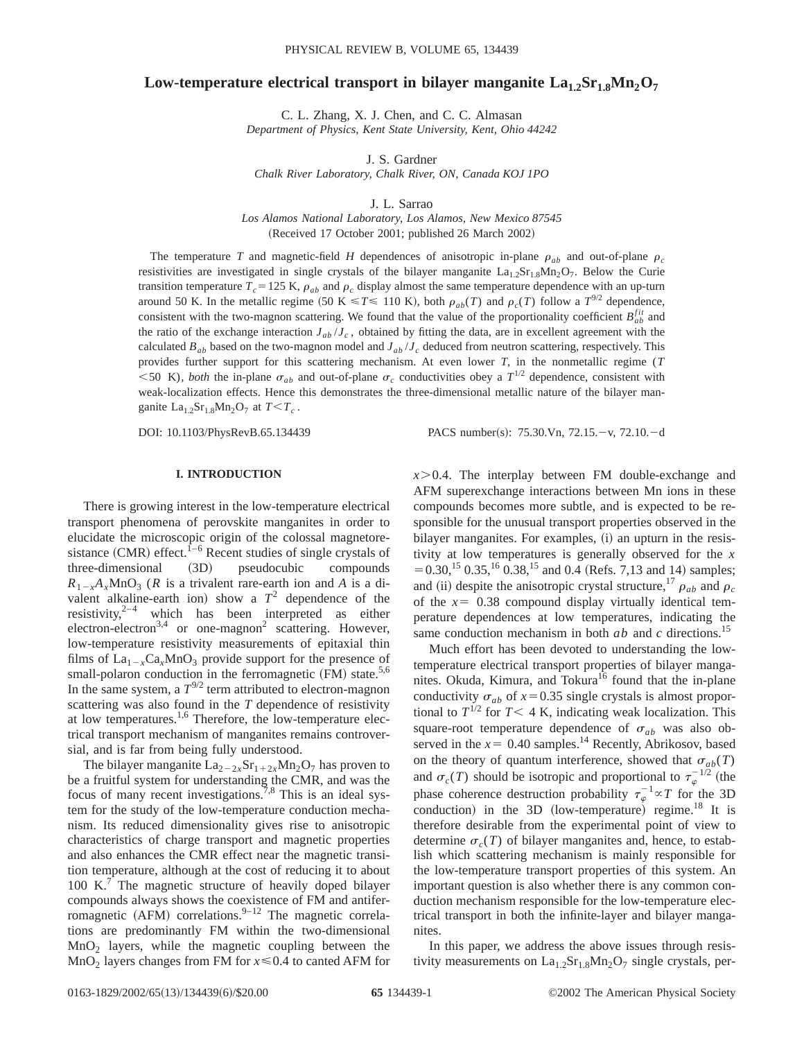# **Low-temperature electrical transport in bilayer manganite**  $La_{1,2}Sr_{1,8}Mn_2O_7$

C. L. Zhang, X. J. Chen, and C. C. Almasan *Department of Physics, Kent State University, Kent, Ohio 44242*

J. S. Gardner *Chalk River Laboratory, Chalk River, ON, Canada KOJ 1PO*

J. L. Sarrao

*Los Alamos National Laboratory, Los Alamos, New Mexico 87545* (Received 17 October 2001; published 26 March 2002)

The temperature *T* and magnetic-field *H* dependences of anisotropic in-plane  $\rho_{ab}$  and out-of-plane  $\rho_c$ resistivities are investigated in single crystals of the bilayer manganite  $La_{1,2}Sr_{1,8}Mn_2O_7$ . Below the Curie transition temperature  $T_c$ =125 K,  $\rho_{ab}$  and  $\rho_c$  display almost the same temperature dependence with an up-turn around 50 K. In the metallic regime (50 K  $\leq T \leq 110$  K), both  $\rho_{ab}(T)$  and  $\rho_c(T)$  follow a  $T^{9/2}$  dependence, consistent with the two-magnon scattering. We found that the value of the proportionality coefficient  $B_{ab}^{fit}$  and the ratio of the exchange interaction  $J_{ab}/J_c$ , obtained by fitting the data, are in excellent agreement with the calculated  $B_{ab}$  based on the two-magnon model and  $J_{ab}/J_c$  deduced from neutron scattering, respectively. This provides further support for this scattering mechanism. At even lower *T*, in the nonmetallic regime (*T*  $<$  50 K), *both* the in-plane  $\sigma_{ab}$  and out-of-plane  $\sigma_c$  conductivities obey a  $T^{1/2}$  dependence, consistent with weak-localization effects. Hence this demonstrates the three-dimensional metallic nature of the bilayer manganite  $La<sub>1.2</sub>Sr<sub>1.8</sub>Mn<sub>2</sub>O<sub>7</sub>$  at  $T < T<sub>c</sub>$ .

DOI: 10.1103/PhysRevB.65.134439 PACS number(s): 75.30.Vn, 72.15.-v, 72.10.-d

#### **I. INTRODUCTION**

There is growing interest in the low-temperature electrical transport phenomena of perovskite manganites in order to elucidate the microscopic origin of the colossal magnetoresistance  $(CMR)$  effect.<sup>1–6</sup> Recent studies of single crystals of three-dimensional (3D) pseudocubic compounds  $R_{1-x}A_xMnO_3$  (*R* is a trivalent rare-earth ion and *A* is a divalent alkaline-earth ion) show a  $T^2$  dependence of the resistivity, $2^{-4}$  which has been interpreted as either electron-electron<sup>3,4</sup> or one-magnon<sup>2</sup> scattering. However, low-temperature resistivity measurements of epitaxial thin films of  $La_{1-x}Ca_xMnO_3$  provide support for the presence of small-polaron conduction in the ferromagnetic (FM) state.<sup>5,6</sup> In the same system, a  $T^{9/2}$  term attributed to electron-magnon scattering was also found in the *T* dependence of resistivity at low temperatures.1,6 Therefore, the low-temperature electrical transport mechanism of manganites remains controversial, and is far from being fully understood.

The bilayer manganite  $La_{2-2x}Sr_{1+2x}Mn_2O_7$  has proven to be a fruitful system for understanding the CMR, and was the focus of many recent investigations.<sup>7,8</sup> This is an ideal system for the study of the low-temperature conduction mechanism. Its reduced dimensionality gives rise to anisotropic characteristics of charge transport and magnetic properties and also enhances the CMR effect near the magnetic transition temperature, although at the cost of reducing it to about  $100 \text{ K}$ . The magnetic structure of heavily doped bilayer compounds always shows the coexistence of FM and antiferromagnetic (AFM) correlations.<sup>9–12</sup> The magnetic correlations are predominantly FM within the two-dimensional  $MnO<sub>2</sub>$  layers, while the magnetic coupling between the  $MnO<sub>2</sub>$  layers changes from FM for  $x \le 0.4$  to canted AFM for  $x > 0.4$ . The interplay between FM double-exchange and AFM superexchange interactions between Mn ions in these compounds becomes more subtle, and is expected to be responsible for the unusual transport properties observed in the bilayer manganites. For examples, (i) an upturn in the resistivity at low temperatures is generally observed for the *x*  $= 0.30$ ,<sup>15</sup> 0.35,<sup>16</sup> 0.38,<sup>15</sup> and 0.4 (Refs. 7,13 and 14) samples; and (ii) despite the anisotropic crystal structure,<sup>17</sup>  $\rho_{ab}$  and  $\rho_c$ of the  $x=0.38$  compound display virtually identical temperature dependences at low temperatures, indicating the same conduction mechanism in both *ab* and *c* directions.15

Much effort has been devoted to understanding the lowtemperature electrical transport properties of bilayer manganites. Okuda, Kimura, and Tokura<sup>16</sup> found that the in-plane conductivity  $\sigma_{ab}$  of  $x=0.35$  single crystals is almost proportional to  $T^{1/2}$  for  $T < 4$  K, indicating weak localization. This square-root temperature dependence of  $\sigma_{ab}$  was also observed in the  $x=0.40$  samples.<sup>14</sup> Recently, Abrikosov, based on the theory of quantum interference, showed that  $\sigma_{ab}(T)$ and  $\sigma_c(T)$  should be isotropic and proportional to  $\tau_{\varphi}^{-1/2}$  (the phase coherence destruction probability  $\tau_{\varphi}^{-1} \propto T$  for the 3D conduction) in the 3D  $(low$ -temperature) regime.<sup>18</sup> It is therefore desirable from the experimental point of view to determine  $\sigma_c(T)$  of bilayer manganites and, hence, to establish which scattering mechanism is mainly responsible for the low-temperature transport properties of this system. An important question is also whether there is any common conduction mechanism responsible for the low-temperature electrical transport in both the infinite-layer and bilayer manganites.

In this paper, we address the above issues through resistivity measurements on  $La<sub>1.2</sub>Sr<sub>1.8</sub>Mn<sub>2</sub>O<sub>7</sub>$  single crystals, per-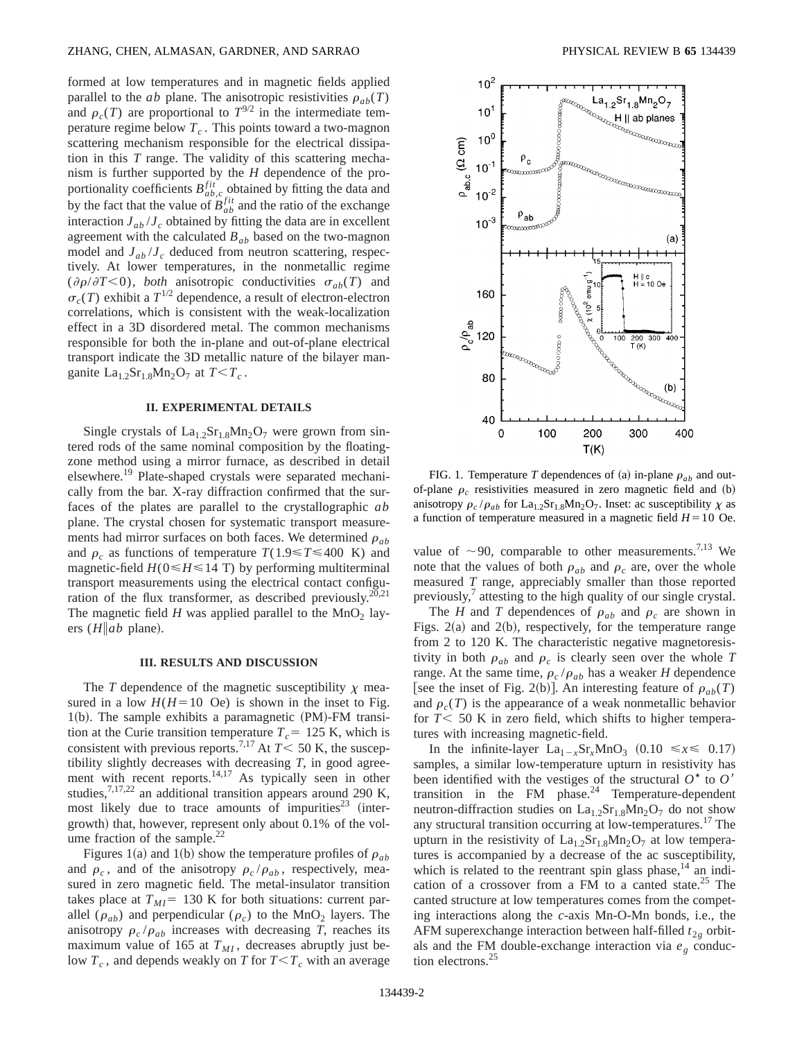formed at low temperatures and in magnetic fields applied parallel to the *ab* plane. The anisotropic resistivities  $\rho_{ab}(T)$ and  $\rho_c(T)$  are proportional to  $T^{9/2}$  in the intermediate temperature regime below  $T_c$ . This points toward a two-magnon scattering mechanism responsible for the electrical dissipation in this *T* range. The validity of this scattering mechanism is further supported by the *H* dependence of the proportionality coefficients  $B_{ab,c}^{fit}$  obtained by fitting the data and by the fact that the value of  $B_{ab}^{fit}$  and the ratio of the exchange interaction  $J_{ab}/J_c$  obtained by fitting the data are in excellent agreement with the calculated *Bab* based on the two-magnon model and  $J_{ab}/J_c$  deduced from neutron scattering, respectively. At lower temperatures, in the nonmetallic regime  $(\partial \rho/\partial T<0)$ , *both* anisotropic conductivities  $\sigma_{ab}(T)$  and  $\sigma_c(T)$  exhibit a  $T^{1/2}$  dependence, a result of electron-electron correlations, which is consistent with the weak-localization effect in a 3D disordered metal. The common mechanisms responsible for both the in-plane and out-of-plane electrical transport indicate the 3D metallic nature of the bilayer manganite  $La<sub>1.2</sub>Sr<sub>1.8</sub>Mn<sub>2</sub>O<sub>7</sub>$  at  $T < T_c$ .

#### **II. EXPERIMENTAL DETAILS**

Single crystals of  $La<sub>1.2</sub>Sr<sub>1.8</sub>Mn<sub>2</sub>O<sub>7</sub>$  were grown from sintered rods of the same nominal composition by the floatingzone method using a mirror furnace, as described in detail elsewhere.<sup>19</sup> Plate-shaped crystals were separated mechanically from the bar. X-ray diffraction confirmed that the surfaces of the plates are parallel to the crystallographic *ab* plane. The crystal chosen for systematic transport measurements had mirror surfaces on both faces. We determined  $\rho_{ab}$ and  $\rho_c$  as functions of temperature  $T(1.9 \leq T \leq 400 \text{ K})$  and magnetic-field  $H(0 \le H \le 14$  T) by performing multiterminal transport measurements using the electrical contact configuration of the flux transformer, as described previously.<sup>20,21</sup> The magnetic field  $H$  was applied parallel to the  $MnO<sub>2</sub>$  layers  $(H \| ab$  plane).

#### **III. RESULTS AND DISCUSSION**

The *T* dependence of the magnetic susceptibility  $\chi$  measured in a low  $H(H=10 \text{ Oe})$  is shown in the inset to Fig.  $1(b)$ . The sample exhibits a paramagnetic  $(PM)$ -FM transition at the Curie transition temperature  $T_c$  = 125 K, which is consistent with previous reports.<sup>7,17</sup> At  $T < 50$  K, the susceptibility slightly decreases with decreasing *T*, in good agreement with recent reports.<sup>14,17</sup> As typically seen in other studies,<sup>7,17,22</sup> an additional transition appears around 290 K, most likely due to trace amounts of impurities<sup>23</sup> (intergrowth) that, however, represent only about 0.1% of the volume fraction of the sample.<sup>22</sup>

Figures 1(a) and 1(b) show the temperature profiles of  $\rho_{ab}$ and  $\rho_c$ , and of the anisotropy  $\rho_c / \rho_{ab}$ , respectively, measured in zero magnetic field. The metal-insulator transition takes place at  $T_{MI}$ = 130 K for both situations: current parallel ( $\rho_{ab}$ ) and perpendicular ( $\rho_c$ ) to the MnO<sub>2</sub> layers. The anisotropy  $\rho_c / \rho_{ab}$  increases with decreasing *T*, reaches its maximum value of 165 at  $T_{MI}$ , decreases abruptly just below  $T_c$ , and depends weakly on *T* for  $T < T_c$  with an average



FIG. 1. Temperature *T* dependences of (a) in-plane  $\rho_{ab}$  and outof-plane  $\rho_c$  resistivities measured in zero magnetic field and  $(b)$ anisotropy  $\rho_c / \rho_{ab}$  for La<sub>1.2</sub>Sr<sub>1.8</sub>Mn<sub>2</sub>O<sub>7</sub>. Inset: ac susceptibility  $\chi$  as a function of temperature measured in a magnetic field  $H=10$  Oe.

value of  $\sim$ 90, comparable to other measurements.<sup>7,13</sup> We note that the values of both  $\rho_{ab}$  and  $\rho_c$  are, over the whole measured *T* range, appreciably smaller than those reported previously, $\frac{7}{7}$  attesting to the high quality of our single crystal.

The *H* and *T* dependences of  $\rho_{ab}$  and  $\rho_c$  are shown in Figs.  $2(a)$  and  $2(b)$ , respectively, for the temperature range from 2 to 120 K. The characteristic negative magnetoresistivity in both  $\rho_{ab}$  and  $\rho_c$  is clearly seen over the whole *T* range. At the same time,  $\rho_c / \rho_{ab}$  has a weaker *H* dependence [see the inset of Fig. 2(b)]. An interesting feature of  $\rho_{ab}(T)$ and  $\rho_c(T)$  is the appearance of a weak nonmetallic behavior for  $T < 50$  K in zero field, which shifts to higher temperatures with increasing magnetic-field.

In the infinite-layer  $La_{1-x}Sr_xMnO_3$  (0.10  $\leq x \leq 0.17$ ) samples, a similar low-temperature upturn in resistivity has been identified with the vestiges of the structural  $O^*$  to  $O'$ transition in the FM phase. $24$  Temperature-dependent neutron-diffraction studies on  $La<sub>1.2</sub>Sr<sub>1.8</sub>Mn<sub>2</sub>O<sub>7</sub>$  do not show any structural transition occurring at low-temperatures.<sup>17</sup> The upturn in the resistivity of  $La<sub>1.2</sub>Sr<sub>1.8</sub>Mn<sub>2</sub>O<sub>7</sub>$  at low temperatures is accompanied by a decrease of the ac susceptibility, which is related to the reentrant spin glass phase,  $14$  an indication of a crossover from a FM to a canted state.<sup>25</sup> The canted structure at low temperatures comes from the competing interactions along the *c*-axis Mn-O-Mn bonds, i.e., the AFM superexchange interaction between half-filled  $t_{2g}$  orbitals and the FM double-exchange interaction via  $e_g$  conduction electrons.<sup>25</sup>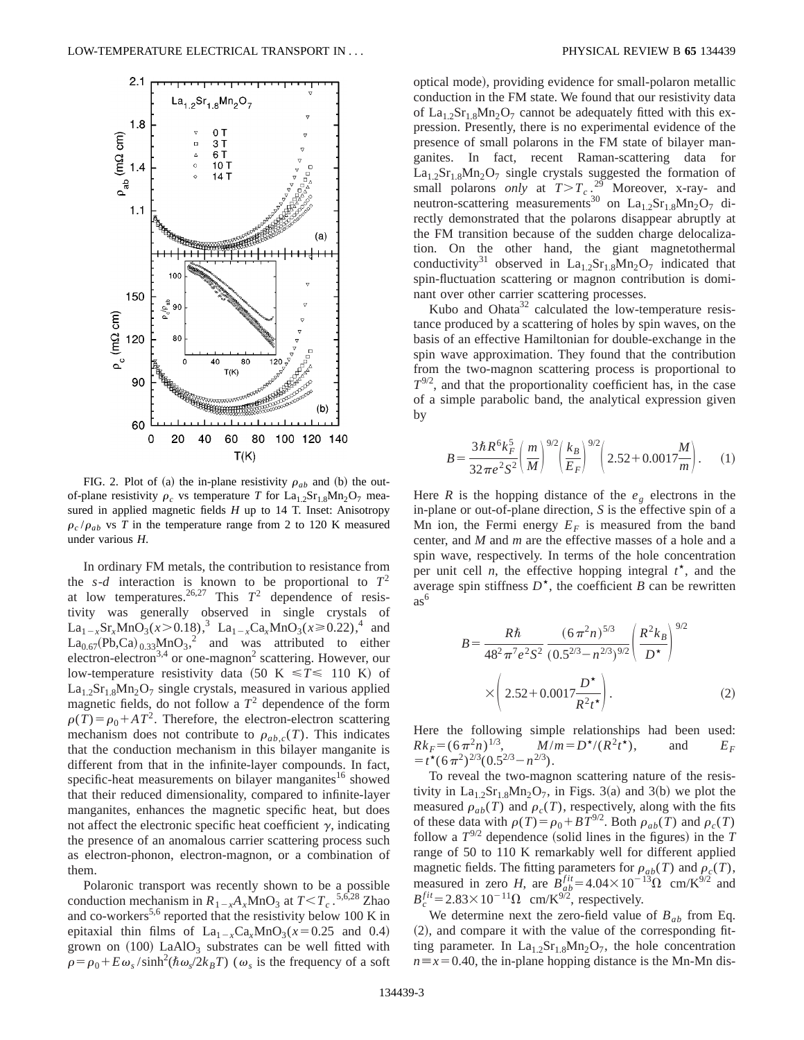

FIG. 2. Plot of (a) the in-plane resistivity  $\rho_{ab}$  and (b) the outof-plane resistivity  $\rho_c$  vs temperature *T* for La<sub>1.2</sub>Sr<sub>1.8</sub>Mn<sub>2</sub>O<sub>7</sub> measured in applied magnetic fields *H* up to 14 T. Inset: Anisotropy  $\rho_c/\rho_{ab}$  vs *T* in the temperature range from 2 to 120 K measured under various *H*.

In ordinary FM metals, the contribution to resistance from the *s*-*d* interaction is known to be proportional to  $T^2$ at low temperatures.<sup>26,27</sup> This  $T^2$  dependence of resistivity was generally observed in single crystals of  $La_{1-x}Sr_xMnO_3(x>0.18),$ <sup>3</sup>  $La_{1-x}Ca_xMnO_3(x\ge0.22),$ <sup>4</sup> and  $\text{La}_{0.67}(\text{Pb},\text{Ca})_{0.33}\text{MnO}_3^2$  and was attributed to either electron-electron<sup>3,4</sup> or one-magnon<sup>2</sup> scattering. However, our low-temperature resistivity data  $(50 \text{ K} \leq T \leq 110 \text{ K})$  of  $La<sub>1.2</sub>Sr<sub>1.8</sub>Mn<sub>2</sub>O<sub>7</sub>$  single crystals, measured in various applied magnetic fields, do not follow a  $T^2$  dependence of the form  $\rho(T) = \rho_0 + AT^2$ . Therefore, the electron-electron scattering mechanism does not contribute to  $\rho_{ab,c}(T)$ . This indicates that the conduction mechanism in this bilayer manganite is different from that in the infinite-layer compounds. In fact, specific-heat measurements on bilayer manganites<sup>16</sup> showed that their reduced dimensionality, compared to infinite-layer manganites, enhances the magnetic specific heat, but does not affect the electronic specific heat coefficient  $\gamma$ , indicating the presence of an anomalous carrier scattering process such as electron-phonon, electron-magnon, or a combination of them.

Polaronic transport was recently shown to be a possible conduction mechanism in  $R_{1-x}A_xMnO_3$  at  $T < T_c$ .<sup>5,6,28</sup> Zhao and co-workers<sup>5,6</sup> reported that the resistivity below 100 K in epitaxial thin films of  $La_{1-x}Ca_xMnO_3(x=0.25$  and 0.4) grown on  $(100)$  LaAlO<sub>3</sub> substrates can be well fitted with  $\rho = \rho_0 + E \omega_s / \sinh^2(\hbar \omega_s / 2k_B T)$  ( $\omega_s$  is the frequency of a soft optical mode), providing evidence for small-polaron metallic conduction in the FM state. We found that our resistivity data of  $La<sub>1.2</sub>Sr<sub>1.8</sub>Mn<sub>2</sub>O<sub>7</sub>$  cannot be adequately fitted with this expression. Presently, there is no experimental evidence of the presence of small polarons in the FM state of bilayer manganites. In fact, recent Raman-scattering data for  $La<sub>1.2</sub>Sr<sub>1.8</sub>Mn<sub>2</sub>O<sub>7</sub>$  single crystals suggested the formation of small polarons *only* at  $T>T_c$ .<sup>29</sup> Moreover, x-ray- and neutron-scattering measurements<sup>30</sup> on  $La<sub>1.2</sub>Sr<sub>1.8</sub>Mn<sub>2</sub>O<sub>7</sub>$  directly demonstrated that the polarons disappear abruptly at the FM transition because of the sudden charge delocalization. On the other hand, the giant magnetothermal conductivity<sup>31</sup> observed in La<sub>1.2</sub>Sr<sub>1.8</sub>Mn<sub>2</sub>O<sub>7</sub> indicated that spin-fluctuation scattering or magnon contribution is dominant over other carrier scattering processes.

Kubo and Ohata<sup>32</sup> calculated the low-temperature resistance produced by a scattering of holes by spin waves, on the basis of an effective Hamiltonian for double-exchange in the spin wave approximation. They found that the contribution from the two-magnon scattering process is proportional to  $T^{9/2}$ , and that the proportionality coefficient has, in the case of a simple parabolic band, the analytical expression given by

$$
B = \frac{3\hbar R^6 k_F^5}{32\pi e^2 S^2} \left(\frac{m}{M}\right)^{9/2} \left(\frac{k_B}{E_F}\right)^{9/2} \left(2.52 + 0.0017\frac{M}{m}\right). \tag{1}
$$

Here *R* is the hopping distance of the  $e<sub>g</sub>$  electrons in the in-plane or out-of-plane direction, *S* is the effective spin of a Mn ion, the Fermi energy  $E_F$  is measured from the band center, and *M* and *m* are the effective masses of a hole and a spin wave, respectively. In terms of the hole concentration per unit cell  $n$ , the effective hopping integral  $t^*$ , and the average spin stiffness  $D^*$ , the coefficient *B* can be rewritten as<sup>6</sup>

$$
B = \frac{R\hbar}{48^2 \pi^7 e^2 S^2} \frac{(6\pi^2 n)^{5/3}}{(0.5^{2/3} - n^{2/3})^{9/2}} \left(\frac{R^2 k_B}{D^{\star}}\right)^{9/2}
$$

$$
\times \left(2.52 + 0.0017 \frac{D^{\star}}{R^2 t^{\star}}\right). \tag{2}
$$

Here the following simple relationships had been used:  $Rk_F = (6\pi^2 n)^{1/3}$ ,  $M/m = D^{\star}/(R^2 t^{\star})$ , and  $E_F$  $= t^{\star} (6\pi^2)^{2/3} (0.5^{2/3} - n^{2/3}).$ 

To reveal the two-magnon scattering nature of the resistivity in  $La<sub>1.2</sub>Sr<sub>1.8</sub>Mn<sub>2</sub>O<sub>7</sub>$ , in Figs. 3(a) and 3(b) we plot the measured  $\rho_{ab}(T)$  and  $\rho_c(T)$ , respectively, along with the fits of these data with  $\rho(T) = \rho_0 + BT^{9/2}$ . Both  $\rho_{ab}(T)$  and  $\rho_c(T)$ follow a  $T^{9/2}$  dependence (solid lines in the figures) in the *T* range of 50 to 110 K remarkably well for different applied magnetic fields. The fitting parameters for  $\rho_{ab}(T)$  and  $\rho_c(T)$ , measured in zero *H*, are  $B_{ab}^{fit} = 4.04 \times 10^{-13} \Omega$  cm/K<sup>9/2</sup> and  $B_c^{fit}$  = 2.83 × 10<sup>-11</sup> $\Omega$  cm/K<sup>9/2</sup>, respectively.

We determine next the zero-field value of  $B_{ab}$  from Eq.  $(2)$ , and compare it with the value of the corresponding fitting parameter. In  $La<sub>1.2</sub>Sr<sub>1.8</sub>Mn<sub>2</sub>O<sub>7</sub>$ , the hole concentration  $n \equiv x = 0.40$ , the in-plane hopping distance is the Mn-Mn dis-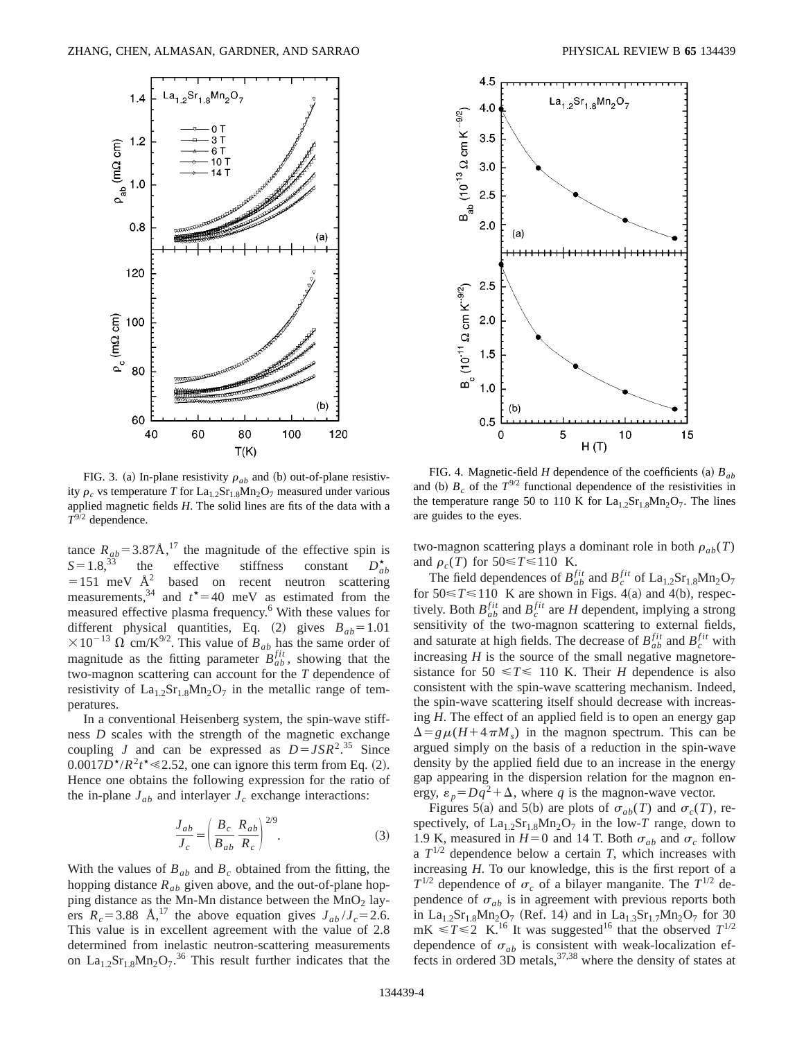

FIG. 3. (a) In-plane resistivity  $\rho_{ab}$  and (b) out-of-plane resistivity  $\rho_c$  vs temperature *T* for La<sub>1.2</sub>Sr<sub>1.8</sub>Mn<sub>2</sub>O<sub>7</sub> measured under various applied magnetic fields *H*. The solid lines are fits of the data with a *T*9/2 dependence.

tance  $R_{ab} = 3.87 \text{\AA}^{17}$ , the magnitude of the effective spin is  $S = 1.8$ ,<sup>33</sup> the effective stiffness constant  $D_{ab}^{*}$  $effective$  stiffness constant  $D_{ab}^{\star}$  $=151$  meV  $\AA^2$  based on recent neutron scattering measurements,<sup>34</sup> and  $t^* = 40$  meV as estimated from the measured effective plasma frequency.<sup>6</sup> With these values for different physical quantities, Eq.  $(2)$  gives  $B_{ab} = 1.01$  $\times 10^{-13}$   $\Omega$  cm/K<sup>9/2</sup>. This value of  $B_{ab}$  has the same order of magnitude as the fitting parameter  $B_{ab}^{fit}$ , showing that the two-magnon scattering can account for the *T* dependence of resistivity of  $La<sub>1.2</sub>Sr<sub>1.8</sub>Mn<sub>2</sub>O<sub>7</sub>$  in the metallic range of temperatures.

In a conventional Heisenberg system, the spin-wave stiffness *D* scales with the strength of the magnetic exchange coupling *J* and can be expressed as  $D = JSR^2$ .<sup>35</sup> Since  $0.0017D^{\star}/R^2t^{\star} \le 2.52$ , one can ignore this term from Eq. (2). Hence one obtains the following expression for the ratio of the in-plane  $J_{ab}$  and interlayer  $J_c$  exchange interactions:

$$
\frac{J_{ab}}{J_c} = \left(\frac{B_c}{B_{ab}} \frac{R_{ab}}{R_c}\right)^{2/9}.
$$
 (3)

With the values of  $B_{ab}$  and  $B_c$  obtained from the fitting, the hopping distance  $R_{ab}$  given above, and the out-of-plane hopping distance as the Mn-Mn distance between the  $MnO<sub>2</sub>$  layers  $R_c = 3.88$  Å,<sup>17</sup> the above equation gives  $J_{ab}/J_c = 2.6$ . This value is in excellent agreement with the value of 2.8 determined from inelastic neutron-scattering measurements on  $La<sub>1.2</sub>Sr<sub>1.8</sub>Mn<sub>2</sub>O<sub>7</sub>$ .<sup>36</sup> This result further indicates that the



FIG. 4. Magnetic-field *H* dependence of the coefficients (a)  $B_{ab}$ and (b)  $B_c$  of the  $T^{9/2}$  functional dependence of the resistivities in the temperature range 50 to 110 K for  $La<sub>1.2</sub>Sr<sub>1.8</sub>Mn<sub>2</sub>O<sub>7</sub>$ . The lines are guides to the eyes.

two-magnon scattering plays a dominant role in both  $\rho_{ab}(T)$ and  $\rho_c(T)$  for  $50 \le T \le 110$  K.

The field dependences of  $B_{ab}^{fit}$  and  $B_c^{fit}$  of  $\text{La}_{1.2}\text{Sr}_{1.8}\text{Mn}_2\text{O}_7$ for  $50 \le T \le 110$  K are shown in Figs. 4(a) and 4(b), respectively. Both  $B_{ab}^{fit}$  and  $B_c^{fit}$  are *H* dependent, implying a strong sensitivity of the two-magnon scattering to external fields, and saturate at high fields. The decrease of  $B_{ab}^{fit}$  and  $B_c^{fit}$  with increasing  $H$  is the source of the small negative magnetoresistance for  $50 \le T \le 110$  K. Their *H* dependence is also consistent with the spin-wave scattering mechanism. Indeed, the spin-wave scattering itself should decrease with increasing *H*. The effect of an applied field is to open an energy gap  $\Delta = g \mu (H + 4 \pi M_s)$  in the magnon spectrum. This can be argued simply on the basis of a reduction in the spin-wave density by the applied field due to an increase in the energy gap appearing in the dispersion relation for the magnon energy,  $\varepsilon_p = Dq^2 + \Delta$ , where *q* is the magnon-wave vector.

Figures 5(a) and 5(b) are plots of  $\sigma_{ab}(T)$  and  $\sigma_c(T)$ , respectively, of  $La<sub>1.2</sub>Sr<sub>1.8</sub>Mn<sub>2</sub>O<sub>7</sub>$  in the low-*T* range, down to 1.9 K, measured in  $H=0$  and 14 T. Both  $\sigma_{ab}$  and  $\sigma_c$  follow a  $T^{1/2}$  dependence below a certain *T*, which increases with increasing *H*. To our knowledge, this is the first report of a  $T^{1/2}$  dependence of  $\sigma_c$  of a bilayer manganite. The  $T^{1/2}$  dependence of  $\sigma_{ab}$  is in agreement with previous reports both in La<sub>1.2</sub>Sr<sub>1.8</sub>Mn<sub>2</sub>O<sub>7</sub> (Ref. 14) and in La<sub>1.3</sub>Sr<sub>1.7</sub>Mn<sub>2</sub>O<sub>7</sub> for 30  $mK \le T \le 2$  K.<sup>16</sup> It was suggested<sup>16</sup> that the observed  $T^{1/2}$ dependence of  $\sigma_{ab}$  is consistent with weak-localization effects in ordered  $3D$  metals,  $37,38$  where the density of states at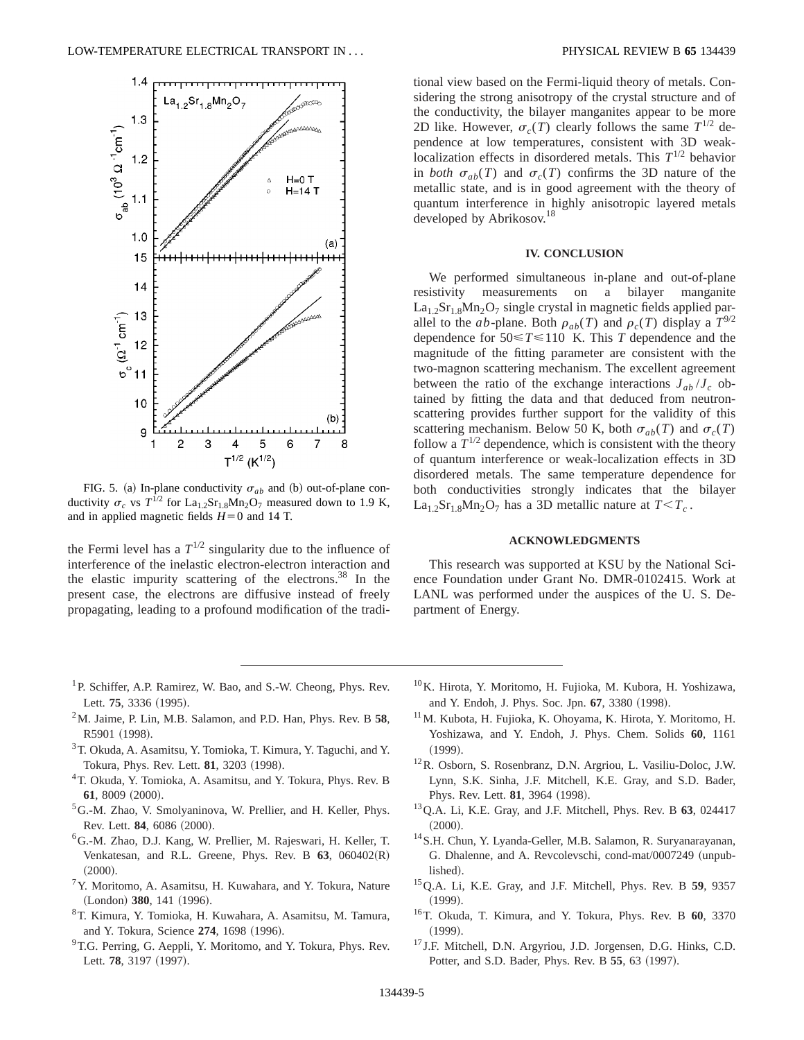

FIG. 5. (a) In-plane conductivity  $\sigma_{ab}$  and (b) out-of-plane conductivity  $\sigma_c$  vs  $T^{1/2}$  for La<sub>1.2</sub>Sr<sub>1.8</sub>Mn<sub>2</sub>O<sub>7</sub> measured down to 1.9 K, and in applied magnetic fields  $H=0$  and 14 T.

the Fermi level has a  $T^{1/2}$  singularity due to the influence of interference of the inelastic electron-electron interaction and the elastic impurity scattering of the electrons.<sup>38</sup> In the present case, the electrons are diffusive instead of freely propagating, leading to a profound modification of the traditional view based on the Fermi-liquid theory of metals. Considering the strong anisotropy of the crystal structure and of the conductivity, the bilayer manganites appear to be more 2D like. However,  $\sigma_c(T)$  clearly follows the same  $T^{1/2}$  dependence at low temperatures, consistent with 3D weaklocalization effects in disordered metals. This  $T^{1/2}$  behavior in *both*  $\sigma_{ab}(T)$  and  $\sigma_c(T)$  confirms the 3D nature of the metallic state, and is in good agreement with the theory of quantum interference in highly anisotropic layered metals developed by Abrikosov.<sup>18</sup>

## **IV. CONCLUSION**

We performed simultaneous in-plane and out-of-plane resistivity measurements on a bilayer manganite  $La<sub>1.2</sub>Sr<sub>1.8</sub>Mn<sub>2</sub>O<sub>7</sub>$  single crystal in magnetic fields applied parallel to the *ab*-plane. Both  $\rho_{ab}(T)$  and  $\rho_c(T)$  display a  $T^{9/2}$ dependence for  $50 \le T \le 110$  K. This *T* dependence and the magnitude of the fitting parameter are consistent with the two-magnon scattering mechanism. The excellent agreement between the ratio of the exchange interactions  $J_{ab}/J_c$  obtained by fitting the data and that deduced from neutronscattering provides further support for the validity of this scattering mechanism. Below 50 K, both  $\sigma_{ab}(T)$  and  $\sigma_c(T)$ follow a  $T^{1/2}$  dependence, which is consistent with the theory of quantum interference or weak-localization effects in 3D disordered metals. The same temperature dependence for both conductivities strongly indicates that the bilayer  $La<sub>1.2</sub>Sr<sub>1.8</sub>Mn<sub>2</sub>O<sub>7</sub>$  has a 3D metallic nature at  $T < T_c$ .

### **ACKNOWLEDGMENTS**

This research was supported at KSU by the National Science Foundation under Grant No. DMR-0102415. Work at LANL was performed under the auspices of the U. S. Department of Energy.

- <sup>1</sup>P. Schiffer, A.P. Ramirez, W. Bao, and S.-W. Cheong, Phys. Rev. Lett. 75, 3336 (1995).
- 2M. Jaime, P. Lin, M.B. Salamon, and P.D. Han, Phys. Rev. B **58**, R5901 (1998).
- 3T. Okuda, A. Asamitsu, Y. Tomioka, T. Kimura, Y. Taguchi, and Y. Tokura, Phys. Rev. Lett. **81**, 3203 (1998).
- 4T. Okuda, Y. Tomioka, A. Asamitsu, and Y. Tokura, Phys. Rev. B 61, 8009 (2000).
- 5G.-M. Zhao, V. Smolyaninova, W. Prellier, and H. Keller, Phys. Rev. Lett. **84**, 6086 (2000).
- 6G.-M. Zhao, D.J. Kang, W. Prellier, M. Rajeswari, H. Keller, T. Venkatesan, and R.L. Greene, Phys. Rev. B  $63$ ,  $060402(R)$  $(2000).$
- $7$ Y. Moritomo, A. Asamitsu, H. Kuwahara, and Y. Tokura, Nature (London) 380, 141 (1996).
- 8T. Kimura, Y. Tomioka, H. Kuwahara, A. Asamitsu, M. Tamura, and Y. Tokura, Science 274, 1698 (1996).
- <sup>9</sup>T.G. Perring, G. Aeppli, Y. Moritomo, and Y. Tokura, Phys. Rev. Lett. 78, 3197 (1997).
- 10K. Hirota, Y. Moritomo, H. Fujioka, M. Kubora, H. Yoshizawa, and Y. Endoh, J. Phys. Soc. Jpn. 67, 3380 (1998).
- 11M. Kubota, H. Fujioka, K. Ohoyama, K. Hirota, Y. Moritomo, H. Yoshizawa, and Y. Endoh, J. Phys. Chem. Solids **60**, 1161  $(1999).$
- 12R. Osborn, S. Rosenbranz, D.N. Argriou, L. Vasiliu-Doloc, J.W. Lynn, S.K. Sinha, J.F. Mitchell, K.E. Gray, and S.D. Bader, Phys. Rev. Lett. **81**, 3964 (1998).
- 13Q.A. Li, K.E. Gray, and J.F. Mitchell, Phys. Rev. B **63**, 024417  $(2000).$
- 14S.H. Chun, Y. Lyanda-Geller, M.B. Salamon, R. Suryanarayanan, G. Dhalenne, and A. Revcolevschi, cond-mat/0007249 (unpublished).
- 15Q.A. Li, K.E. Gray, and J.F. Mitchell, Phys. Rev. B **59**, 9357  $(1999).$
- 16T. Okuda, T. Kimura, and Y. Tokura, Phys. Rev. B **60**, 3370  $(1999).$
- <sup>17</sup> J.F. Mitchell, D.N. Argyriou, J.D. Jorgensen, D.G. Hinks, C.D. Potter, and S.D. Bader, Phys. Rev. B 55, 63 (1997).